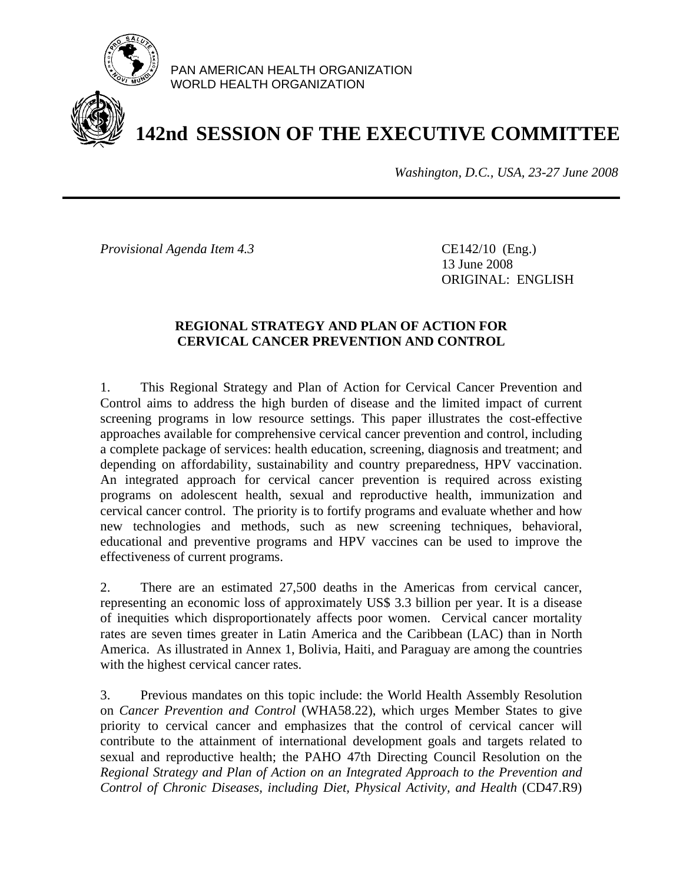

PAN AMERICAN HEALTH ORGANIZATION WORLD HEALTH ORGANIZATION

## **142nd SESSION OF THE EXECUTIVE COMMITTEE**

*Washington, D.C., USA, 23-27 June 2008*

*Provisional Agenda Item 4.3* CE142/10 (Eng.)

 13 June 2008 ORIGINAL: ENGLISH

## **REGIONAL STRATEGY AND PLAN OF ACTION FOR CERVICAL CANCER PREVENTION AND CONTROL**

1. This Regional Strategy and Plan of Action for Cervical Cancer Prevention and Control aims to address the high burden of disease and the limited impact of current screening programs in low resource settings. This paper illustrates the cost-effective approaches available for comprehensive cervical cancer prevention and control, including a complete package of services: health education, screening, diagnosis and treatment; and depending on affordability, sustainability and country preparedness, HPV vaccination. An integrated approach for cervical cancer prevention is required across existing programs on adolescent health, sexual and reproductive health, immunization and cervical cancer control. The priority is to fortify programs and evaluate whether and how new technologies and methods, such as new screening techniques, behavioral, educational and preventive programs and HPV vaccines can be used to improve the effectiveness of current programs.

2. There are an estimated 27,500 deaths in the Americas from cervical cancer, representing an economic loss of approximately US\$ 3.3 billion per year. It is a disease of inequities which disproportionately affects poor women. Cervical cancer mortality rates are seven times greater in Latin America and the Caribbean (LAC) than in North America. As illustrated in Annex 1, Bolivia, Haiti, and Paraguay are among the countries with the highest cervical cancer rates.

3. Previous mandates on this topic include: the World Health Assembly Resolution on *Cancer Prevention and Control* (WHA58.22), which urges Member States to give priority to cervical cancer and emphasizes that the control of cervical cancer will contribute to the attainment of international development goals and targets related to sexual and reproductive health; the PAHO 47th Directing Council Resolution on the *Regional Strategy and Plan of Action on an Integrated Approach to the Prevention and Control of Chronic Diseases, including Diet, Physical Activity, and Health* (CD47.R9)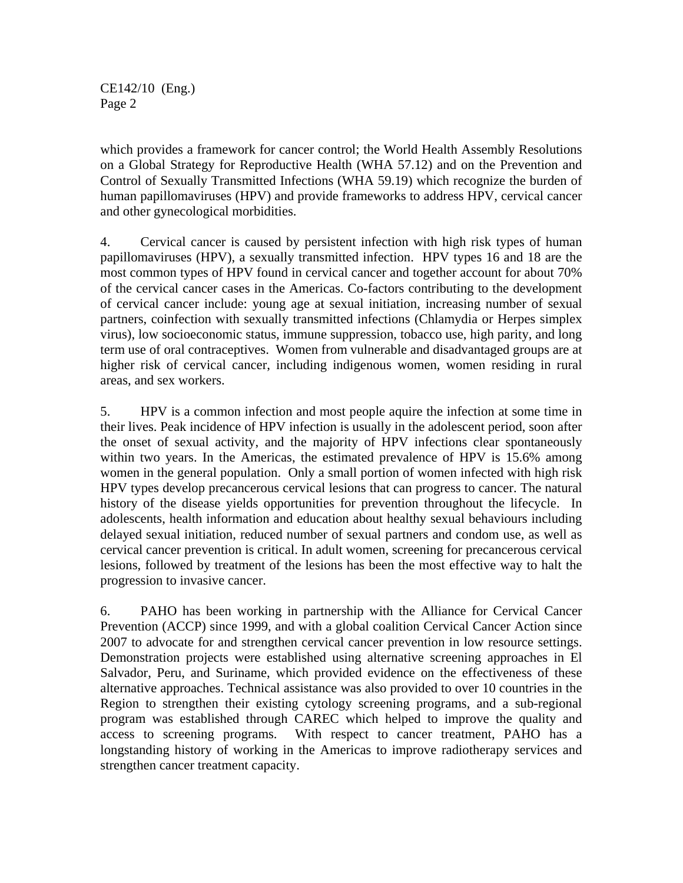CE142/10 (Eng.) Page 2

which provides a framework for cancer control; the World Health Assembly Resolutions on a Global Strategy for Reproductive Health (WHA 57.12) and on the Prevention and Control of Sexually Transmitted Infections (WHA 59.19) which recognize the burden of human papillomaviruses (HPV) and provide frameworks to address HPV, cervical cancer and other gynecological morbidities.

4. Cervical cancer is caused by persistent infection with high risk types of human papillomaviruses (HPV), a sexually transmitted infection. HPV types 16 and 18 are the most common types of HPV found in cervical cancer and together account for about 70% of the cervical cancer cases in the Americas. Co-factors contributing to the development of cervical cancer include: young age at sexual initiation, increasing number of sexual partners, coinfection with sexually transmitted infections (Chlamydia or Herpes simplex virus), low socioeconomic status, immune suppression, tobacco use, high parity, and long term use of oral contraceptives. Women from vulnerable and disadvantaged groups are at higher risk of cervical cancer, including indigenous women, women residing in rural areas, and sex workers.

5. HPV is a common infection and most people aquire the infection at some time in their lives. Peak incidence of HPV infection is usually in the adolescent period, soon after the onset of sexual activity, and the majority of HPV infections clear spontaneously within two years. In the Americas, the estimated prevalence of HPV is 15.6% among women in the general population. Only a small portion of women infected with high risk HPV types develop precancerous cervical lesions that can progress to cancer. The natural history of the disease yields opportunities for prevention throughout the lifecycle. In adolescents, health information and education about healthy sexual behaviours including delayed sexual initiation, reduced number of sexual partners and condom use, as well as cervical cancer prevention is critical. In adult women, screening for precancerous cervical lesions, followed by treatment of the lesions has been the most effective way to halt the progression to invasive cancer.

6. PAHO has been working in partnership with the Alliance for Cervical Cancer Prevention (ACCP) since 1999, and with a global coalition Cervical Cancer Action since 2007 to advocate for and strengthen cervical cancer prevention in low resource settings. Demonstration projects were established using alternative screening approaches in El Salvador, Peru, and Suriname, which provided evidence on the effectiveness of these alternative approaches. Technical assistance was also provided to over 10 countries in the Region to strengthen their existing cytology screening programs, and a sub-regional program was established through CAREC which helped to improve the quality and access to screening programs. With respect to cancer treatment, PAHO has a longstanding history of working in the Americas to improve radiotherapy services and strengthen cancer treatment capacity.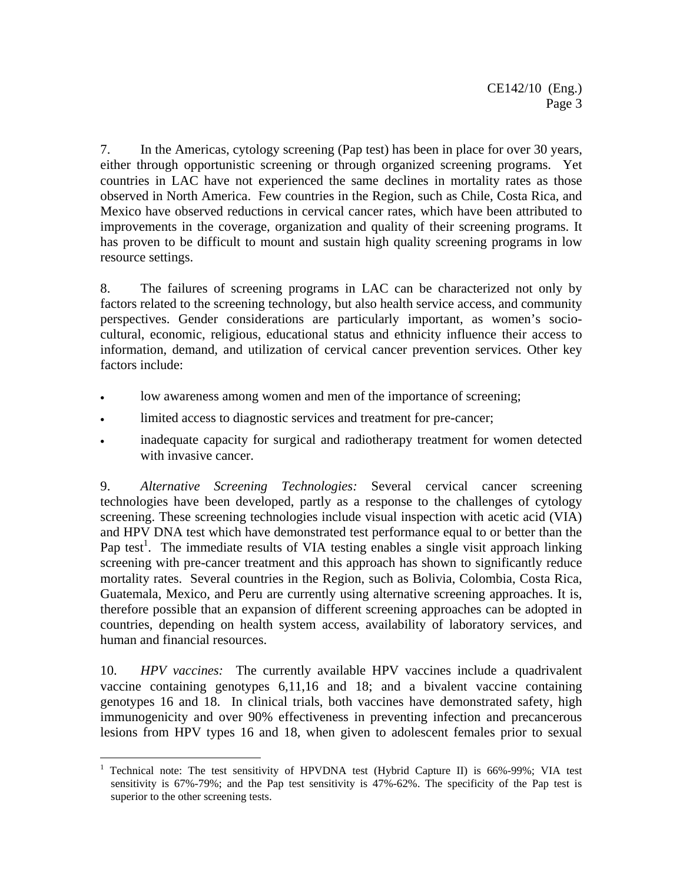7. In the Americas, cytology screening (Pap test) has been in place for over 30 years, either through opportunistic screening or through organized screening programs. Yet countries in LAC have not experienced the same declines in mortality rates as those observed in North America. Few countries in the Region, such as Chile, Costa Rica, and Mexico have observed reductions in cervical cancer rates, which have been attributed to improvements in the coverage, organization and quality of their screening programs. It has proven to be difficult to mount and sustain high quality screening programs in low resource settings.

8. The failures of screening programs in LAC can be characterized not only by factors related to the screening technology, but also health service access, and community perspectives. Gender considerations are particularly important, as women's sociocultural, economic, religious, educational status and ethnicity influence their access to information, demand, and utilization of cervical cancer prevention services. Other key factors include:

- low awareness among women and men of the importance of screening;
- limited access to diagnostic services and treatment for pre-cancer;
- inadequate capacity for surgical and radiotherapy treatment for women detected with invasive cancer.

9. *Alternative Screening Technologies:* Several cervical cancer screening technologies have been developed, partly as a response to the challenges of cytology screening. These screening technologies include visual inspection with acetic acid (VIA) and HPV DNA test which have demonstrated test performance equal to or better than the Pap test<sup>1</sup>. The immediate results of VIA testing enables a single visit approach linking screening with pre-cancer treatment and this approach has shown to significantly reduce mortality rates. Several countries in the Region, such as Bolivia, Colombia, Costa Rica, Guatemala, Mexico, and Peru are currently using alternative screening approaches. It is, therefore possible that an expansion of different screening approaches can be adopted in countries, depending on health system access, availability of laboratory services, and human and financial resources.

10. *HPV vaccines:* The currently available HPV vaccines include a quadrivalent vaccine containing genotypes 6,11,16 and 18; and a bivalent vaccine containing genotypes 16 and 18. In clinical trials, both vaccines have demonstrated safety, high immunogenicity and over 90% effectiveness in preventing infection and precancerous lesions from HPV types 16 and 18, when given to adolescent females prior to sexual

<sup>1</sup> <sup>1</sup> Technical note: The test sensitivity of HPVDNA test (Hybrid Capture II) is 66%-99%; VIA test sensitivity is 67%-79%; and the Pap test sensitivity is 47%-62%. The specificity of the Pap test is superior to the other screening tests.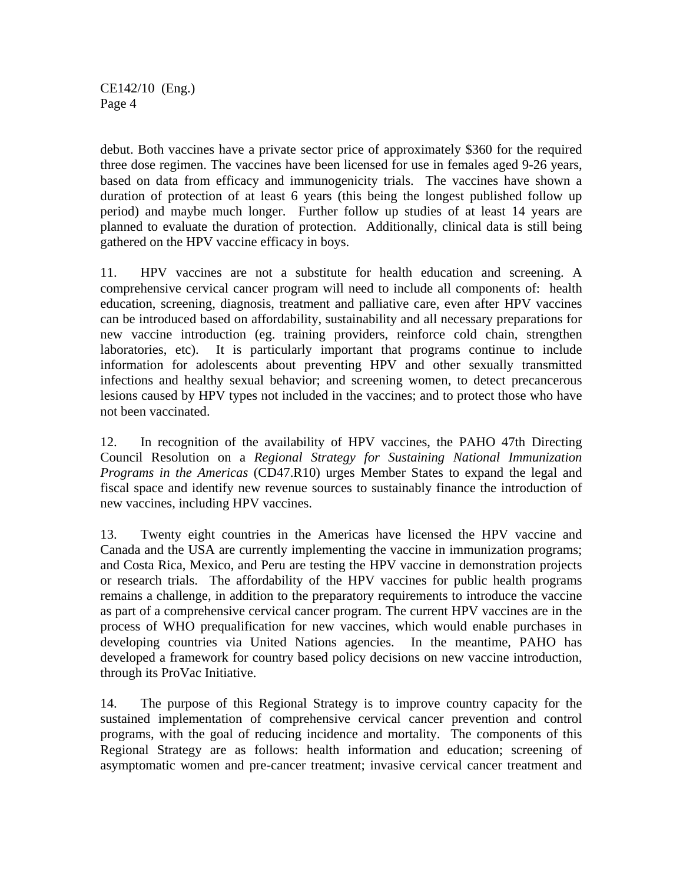CE142/10 (Eng.) Page 4

debut. Both vaccines have a private sector price of approximately \$360 for the required three dose regimen. The vaccines have been licensed for use in females aged 9-26 years, based on data from efficacy and immunogenicity trials. The vaccines have shown a duration of protection of at least 6 years (this being the longest published follow up period) and maybe much longer. Further follow up studies of at least 14 years are planned to evaluate the duration of protection. Additionally, clinical data is still being gathered on the HPV vaccine efficacy in boys.

11. HPV vaccines are not a substitute for health education and screening. A comprehensive cervical cancer program will need to include all components of: health education, screening, diagnosis, treatment and palliative care, even after HPV vaccines can be introduced based on affordability, sustainability and all necessary preparations for new vaccine introduction (eg. training providers, reinforce cold chain, strengthen laboratories, etc). It is particularly important that programs continue to include information for adolescents about preventing HPV and other sexually transmitted infections and healthy sexual behavior; and screening women, to detect precancerous lesions caused by HPV types not included in the vaccines; and to protect those who have not been vaccinated.

12. In recognition of the availability of HPV vaccines, the PAHO 47th Directing Council Resolution on a *Regional Strategy for Sustaining National Immunization Programs in the Americas* (CD47.R10) urges Member States to expand the legal and fiscal space and identify new revenue sources to sustainably finance the introduction of new vaccines, including HPV vaccines.

13. Twenty eight countries in the Americas have licensed the HPV vaccine and Canada and the USA are currently implementing the vaccine in immunization programs; and Costa Rica, Mexico, and Peru are testing the HPV vaccine in demonstration projects or research trials. The affordability of the HPV vaccines for public health programs remains a challenge, in addition to the preparatory requirements to introduce the vaccine as part of a comprehensive cervical cancer program. The current HPV vaccines are in the process of WHO prequalification for new vaccines, which would enable purchases in developing countries via United Nations agencies. In the meantime, PAHO has developed a framework for country based policy decisions on new vaccine introduction, through its ProVac Initiative.

14. The purpose of this Regional Strategy is to improve country capacity for the sustained implementation of comprehensive cervical cancer prevention and control programs, with the goal of reducing incidence and mortality. The components of this Regional Strategy are as follows: health information and education; screening of asymptomatic women and pre-cancer treatment; invasive cervical cancer treatment and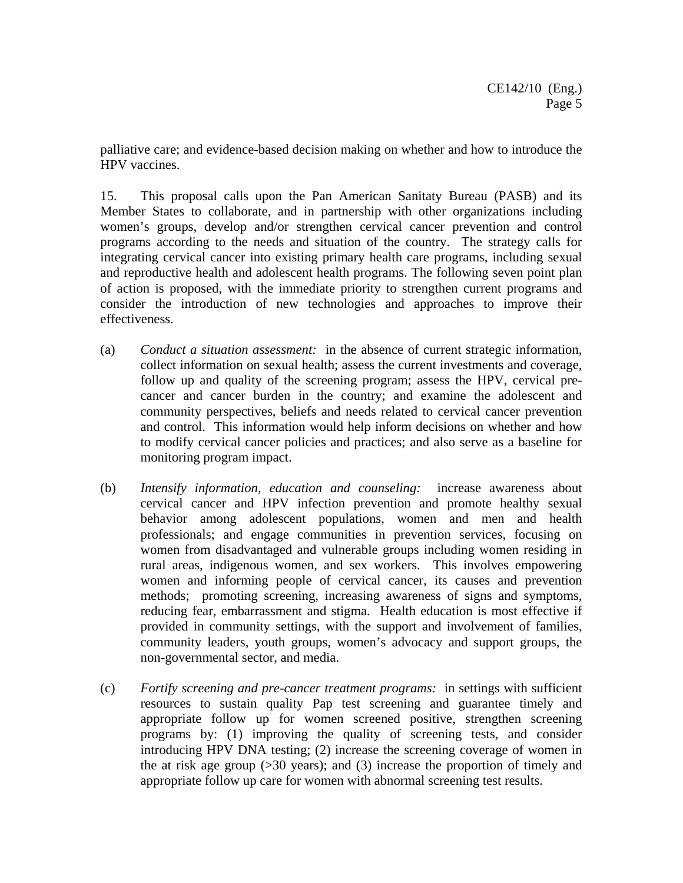palliative care; and evidence-based decision making on whether and how to introduce the HPV vaccines.

15. This proposal calls upon the Pan American Sanitaty Bureau (PASB) and its Member States to collaborate, and in partnership with other organizations including women's groups, develop and/or strengthen cervical cancer prevention and control programs according to the needs and situation of the country. The strategy calls for integrating cervical cancer into existing primary health care programs, including sexual and reproductive health and adolescent health programs. The following seven point plan of action is proposed, with the immediate priority to strengthen current programs and consider the introduction of new technologies and approaches to improve their effectiveness.

- (a) *Conduct a situation assessment:* in the absence of current strategic information, collect information on sexual health; assess the current investments and coverage, follow up and quality of the screening program; assess the HPV, cervical precancer and cancer burden in the country; and examine the adolescent and community perspectives, beliefs and needs related to cervical cancer prevention and control. This information would help inform decisions on whether and how to modify cervical cancer policies and practices; and also serve as a baseline for monitoring program impact.
- (b) *Intensify information, education and counseling:* increase awareness about cervical cancer and HPV infection prevention and promote healthy sexual behavior among adolescent populations, women and men and health professionals; and engage communities in prevention services, focusing on women from disadvantaged and vulnerable groups including women residing in rural areas, indigenous women, and sex workers. This involves empowering women and informing people of cervical cancer, its causes and prevention methods; promoting screening, increasing awareness of signs and symptoms, reducing fear, embarrassment and stigma. Health education is most effective if provided in community settings, with the support and involvement of families, community leaders, youth groups, women's advocacy and support groups, the non-governmental sector, and media.
- (c) *Fortify screening and pre-cancer treatment programs:* in settings with sufficient resources to sustain quality Pap test screening and guarantee timely and appropriate follow up for women screened positive, strengthen screening programs by: (1) improving the quality of screening tests, and consider introducing HPV DNA testing; (2) increase the screening coverage of women in the at risk age group (>30 years); and (3) increase the proportion of timely and appropriate follow up care for women with abnormal screening test results.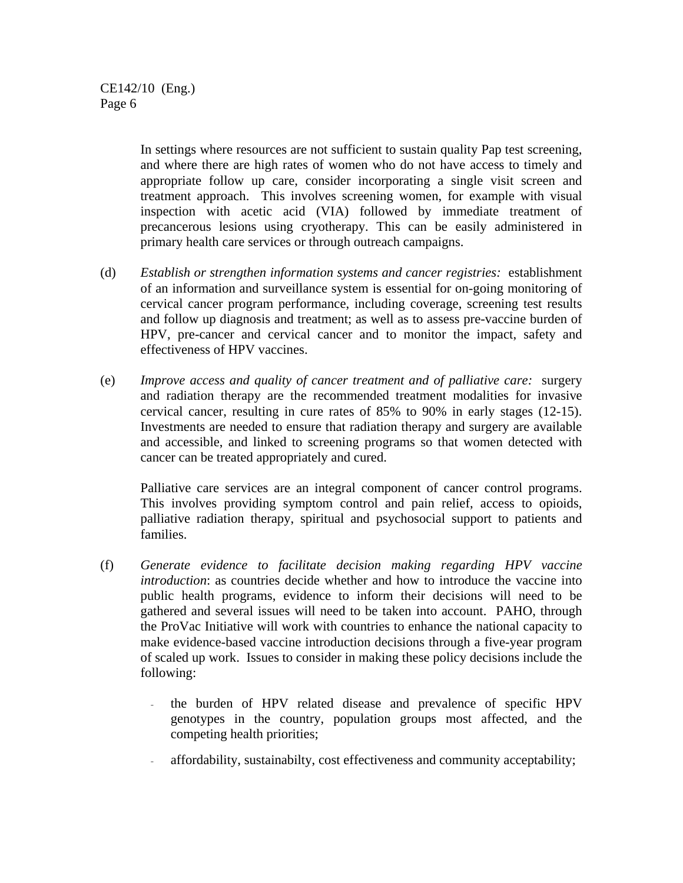In settings where resources are not sufficient to sustain quality Pap test screening, and where there are high rates of women who do not have access to timely and appropriate follow up care, consider incorporating a single visit screen and treatment approach. This involves screening women, for example with visual inspection with acetic acid (VIA) followed by immediate treatment of precancerous lesions using cryotherapy. This can be easily administered in primary health care services or through outreach campaigns.

- (d) *Establish or strengthen information systems and cancer registries:* establishment of an information and surveillance system is essential for on-going monitoring of cervical cancer program performance, including coverage, screening test results and follow up diagnosis and treatment; as well as to assess pre-vaccine burden of HPV, pre-cancer and cervical cancer and to monitor the impact, safety and effectiveness of HPV vaccines.
- (e) *Improve access and quality of cancer treatment and of palliative care:* surgery and radiation therapy are the recommended treatment modalities for invasive cervical cancer, resulting in cure rates of 85% to 90% in early stages (12-15). Investments are needed to ensure that radiation therapy and surgery are available and accessible, and linked to screening programs so that women detected with cancer can be treated appropriately and cured.

Palliative care services are an integral component of cancer control programs. This involves providing symptom control and pain relief, access to opioids, palliative radiation therapy, spiritual and psychosocial support to patients and families.

- (f) *Generate evidence to facilitate decision making regarding HPV vaccine introduction*: as countries decide whether and how to introduce the vaccine into public health programs, evidence to inform their decisions will need to be gathered and several issues will need to be taken into account. PAHO, through the ProVac Initiative will work with countries to enhance the national capacity to make evidence-based vaccine introduction decisions through a five-year program of scaled up work. Issues to consider in making these policy decisions include the following:
	- the burden of HPV related disease and prevalence of specific HPV genotypes in the country, population groups most affected, and the competing health priorities;
	- affordability, sustainabilty, cost effectiveness and community acceptability;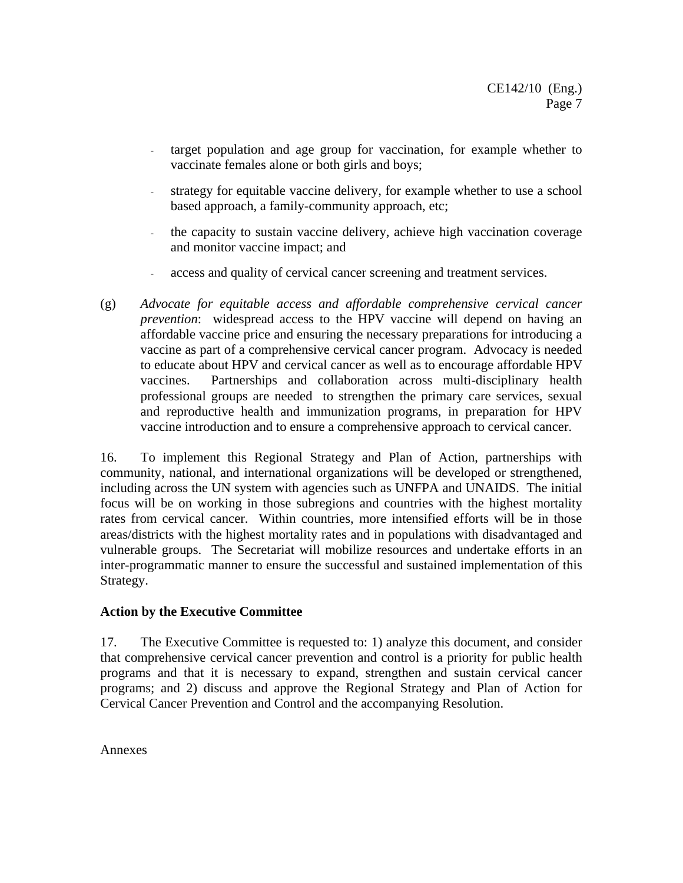- target population and age group for vaccination, for example whether to vaccinate females alone or both girls and boys;
- strategy for equitable vaccine delivery, for example whether to use a school based approach, a family-community approach, etc;
- the capacity to sustain vaccine delivery, achieve high vaccination coverage and monitor vaccine impact; and
- access and quality of cervical cancer screening and treatment services.
- (g) *Advocate for equitable access and affordable comprehensive cervical cancer prevention*: widespread access to the HPV vaccine will depend on having an affordable vaccine price and ensuring the necessary preparations for introducing a vaccine as part of a comprehensive cervical cancer program. Advocacy is needed to educate about HPV and cervical cancer as well as to encourage affordable HPV vaccines. Partnerships and collaboration across multi-disciplinary health professional groups are needed to strengthen the primary care services, sexual and reproductive health and immunization programs, in preparation for HPV vaccine introduction and to ensure a comprehensive approach to cervical cancer.

16. To implement this Regional Strategy and Plan of Action, partnerships with community, national, and international organizations will be developed or strengthened, including across the UN system with agencies such as UNFPA and UNAIDS. The initial focus will be on working in those subregions and countries with the highest mortality rates from cervical cancer. Within countries, more intensified efforts will be in those areas/districts with the highest mortality rates and in populations with disadvantaged and vulnerable groups. The Secretariat will mobilize resources and undertake efforts in an inter-programmatic manner to ensure the successful and sustained implementation of this Strategy.

## **Action by the Executive Committee**

17. The Executive Committee is requested to: 1) analyze this document, and consider that comprehensive cervical cancer prevention and control is a priority for public health programs and that it is necessary to expand, strengthen and sustain cervical cancer programs; and 2) discuss and approve the Regional Strategy and Plan of Action for Cervical Cancer Prevention and Control and the accompanying Resolution.

Annexes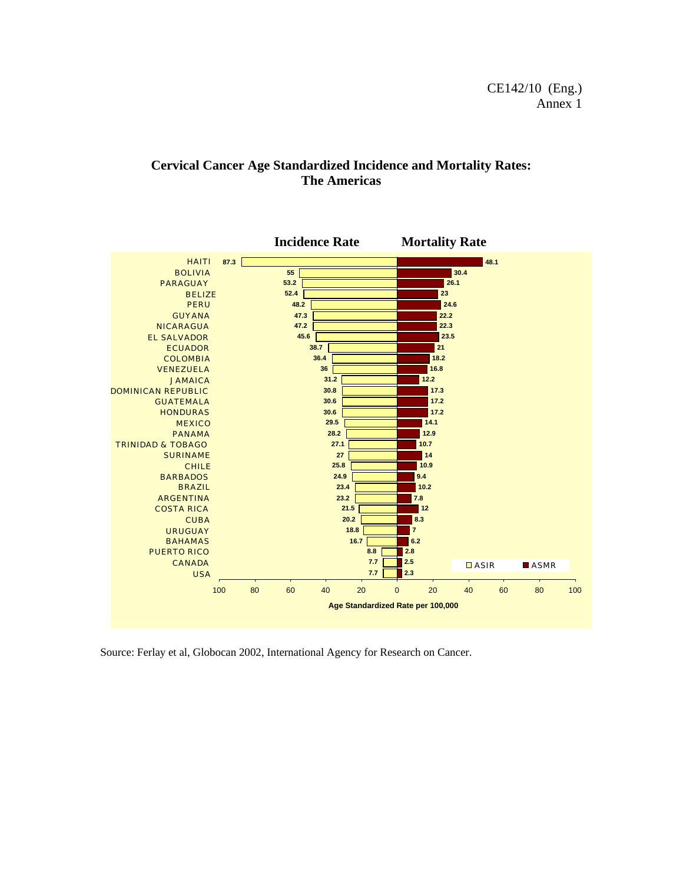## **Cervical Cancer Age Standardized Incidence and Mortality Rates: The Americas**



Source: Ferlay et al, Globocan 2002, International Agency for Research on Cancer.